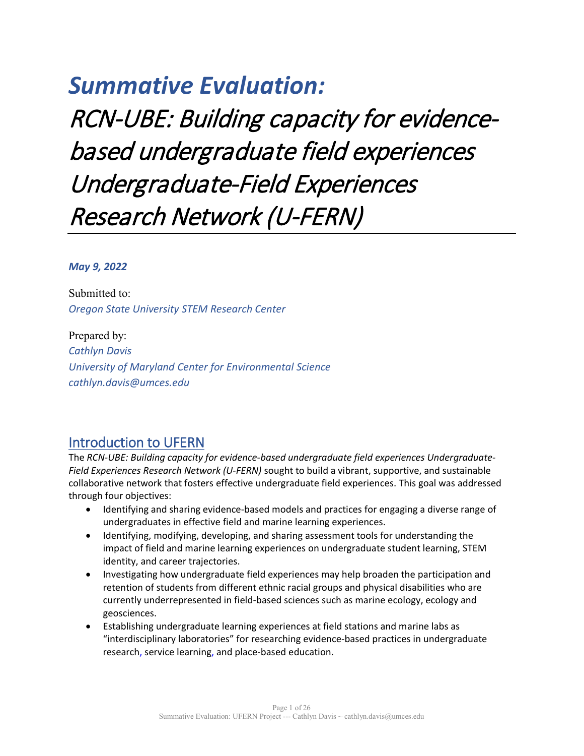# *Summative Evaluation:*

RCN-UBE: Building capacity for evidencebased undergraduate field experiences Undergraduate-Field Experiences Research Network (U-FERN)

### *May 9, 2022*

Submitted to: *Oregon State University STEM Research Center*

Prepared by: *Cathlyn Davis University of Maryland Center for Environmental Science cathlyn.davis@umces.edu*

# Introduction to UFERN

The *RCN-UBE: Building capacity for evidence-based undergraduate field experiences Undergraduate-Field Experiences Research Network (U-FERN)* sought to build a vibrant, supportive, and sustainable collaborative network that fosters effective undergraduate field experiences. This goal was addressed through four objectives:

- Identifying and sharing evidence-based models and practices for engaging a diverse range of undergraduates in effective field and marine learning experiences.
- Identifying, modifying, developing, and sharing assessment tools for understanding the impact of field and marine learning experiences on undergraduate student learning, STEM identity, and career trajectories.
- Investigating how undergraduate field experiences may help broaden the participation and retention of students from different ethnic racial groups and physical disabilities who are currently underrepresented in field-based sciences such as marine ecology, ecology and geosciences.
- Establishing undergraduate learning experiences at field stations and marine labs as "interdisciplinary laboratories" for researching evidence-based practices in undergraduate research, service learning, and place-based education.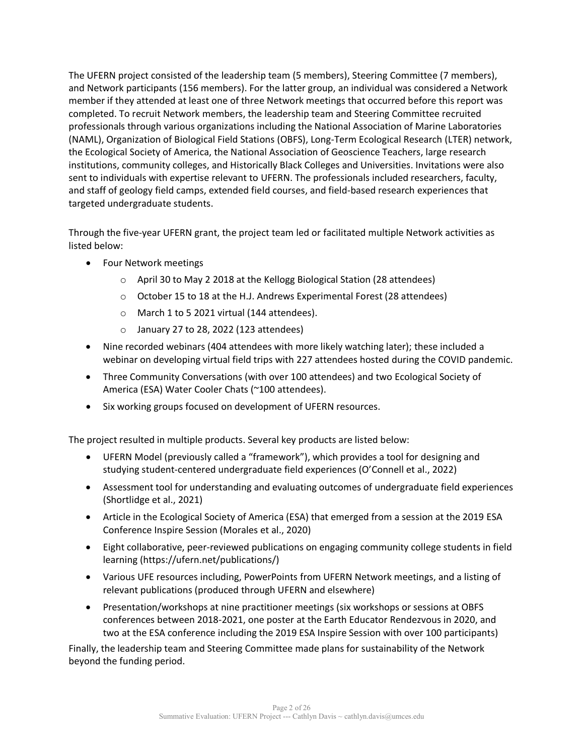The UFERN project consisted of the leadership team (5 members), Steering Committee (7 members), and Network participants (156 members). For the latter group, an individual was considered a Network member if they attended at least one of three Network meetings that occurred before this report was completed. To recruit Network members, the leadership team and Steering Committee recruited professionals through various organizations including the National Association of Marine Laboratories (NAML), Organization of Biological Field Stations (OBFS), Long-Term Ecological Research (LTER) network, the Ecological Society of America, the National Association of Geoscience Teachers, large research institutions, community colleges, and Historically Black Colleges and Universities. Invitations were also sent to individuals with expertise relevant to UFERN. The professionals included researchers, faculty, and staff of geology field camps, extended field courses, and field-based research experiences that targeted undergraduate students.

Through the five-year UFERN grant, the project team led or facilitated multiple Network activities as listed below:

- Four Network meetings
	- o April 30 to May 2 2018 at the Kellogg Biological Station (28 attendees)
	- o October 15 to 18 at the H.J. Andrews Experimental Forest (28 attendees)
	- o March 1 to 5 2021 virtual (144 attendees).
	- $\circ$  January 27 to 28, 2022 (123 attendees)
- Nine recorded webinars (404 attendees with more likely watching later); these included a webinar on developing virtual field trips with 227 attendees hosted during the COVID pandemic.
- Three Community Conversations (with over 100 attendees) and two Ecological Society of America (ESA) Water Cooler Chats (~100 attendees).
- Six working groups focused on development of UFERN resources.

The project resulted in multiple products. Several key products are listed below:

- UFERN Model (previously called a "framework"), which provides a tool for designing and studying student-centered undergraduate field experiences (O'Connell et al., 2022)
- Assessment tool for understanding and evaluating outcomes of undergraduate field experiences (Shortlidge et al., 2021)
- Article in the Ecological Society of America (ESA) that emerged from a session at the 2019 ESA Conference Inspire Session (Morales et al., 2020)
- Eight collaborative, peer-reviewed publications on engaging community college students in field learning (https://ufern.net/publications/)
- Various UFE resources including, PowerPoints from UFERN Network meetings, and a listing of relevant publications (produced through UFERN and elsewhere)
- Presentation/workshops at nine practitioner meetings (six workshops or sessions at OBFS conferences between 2018-2021, one poster at the Earth Educator Rendezvous in 2020, and two at the ESA conference including the 2019 ESA Inspire Session with over 100 participants)

Finally, the leadership team and Steering Committee made plans for sustainability of the Network beyond the funding period.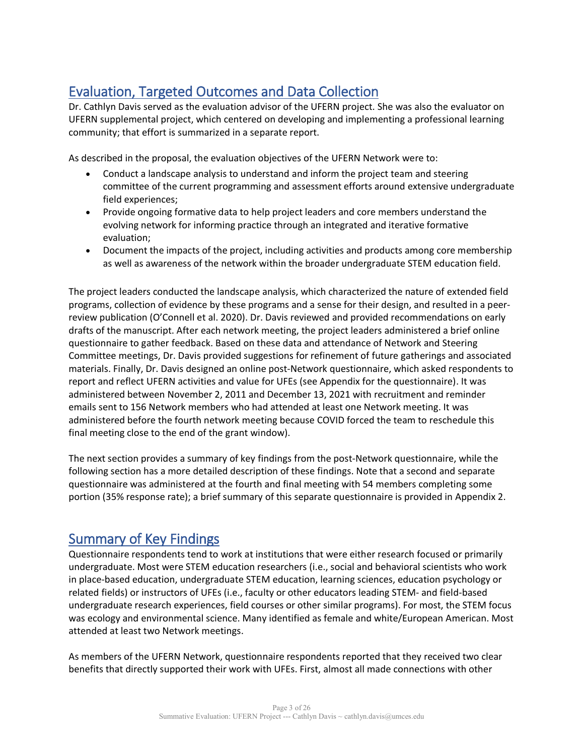# Evaluation, Targeted Outcomes and Data Collection

Dr. Cathlyn Davis served as the evaluation advisor of the UFERN project. She was also the evaluator on UFERN supplemental project, which centered on developing and implementing a professional learning community; that effort is summarized in a separate report.

As described in the proposal, the evaluation objectives of the UFERN Network were to:

- Conduct a landscape analysis to understand and inform the project team and steering committee of the current programming and assessment efforts around extensive undergraduate field experiences;
- Provide ongoing formative data to help project leaders and core members understand the evolving network for informing practice through an integrated and iterative formative evaluation;
- Document the impacts of the project, including activities and products among core membership as well as awareness of the network within the broader undergraduate STEM education field.

The project leaders conducted the landscape analysis, which characterized the nature of extended field programs, collection of evidence by these programs and a sense for their design, and resulted in a peerreview publication (O'Connell et al. 2020). Dr. Davis reviewed and provided recommendations on early drafts of the manuscript. After each network meeting, the project leaders administered a brief online questionnaire to gather feedback. Based on these data and attendance of Network and Steering Committee meetings, Dr. Davis provided suggestions for refinement of future gatherings and associated materials. Finally, Dr. Davis designed an online post-Network questionnaire, which asked respondents to report and reflect UFERN activities and value for UFEs (see Appendix for the questionnaire). It was administered between November 2, 2011 and December 13, 2021 with recruitment and reminder emails sent to 156 Network members who had attended at least one Network meeting. It was administered before the fourth network meeting because COVID forced the team to reschedule this final meeting close to the end of the grant window).

The next section provides a summary of key findings from the post-Network questionnaire, while the following section has a more detailed description of these findings. Note that a second and separate questionnaire was administered at the fourth and final meeting with 54 members completing some portion (35% response rate); a brief summary of this separate questionnaire is provided in Appendix 2.

# Summary of Key Findings

Questionnaire respondents tend to work at institutions that were either research focused or primarily undergraduate. Most were STEM education researchers (i.e., social and behavioral scientists who work in place-based education, undergraduate STEM education, learning sciences, education psychology or related fields) or instructors of UFEs (i.e., faculty or other educators leading STEM- and field-based undergraduate research experiences, field courses or other similar programs). For most, the STEM focus was ecology and environmental science. Many identified as female and white/European American. Most attended at least two Network meetings.

As members of the UFERN Network, questionnaire respondents reported that they received two clear benefits that directly supported their work with UFEs. First, almost all made connections with other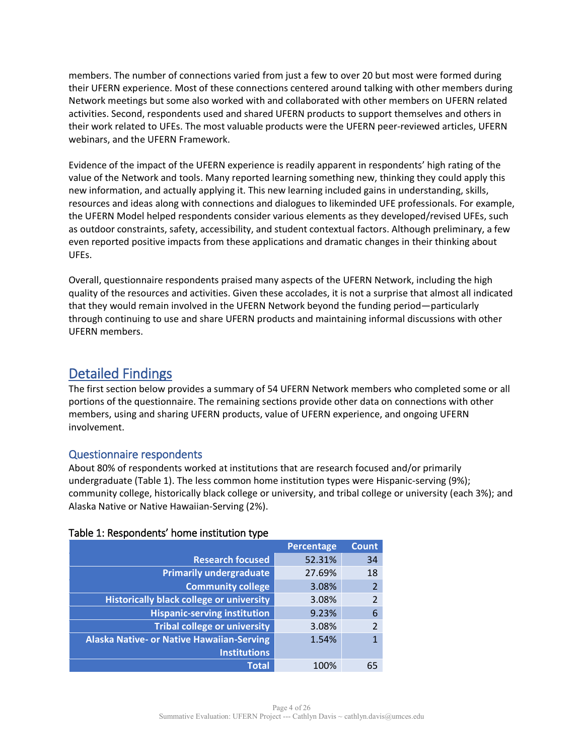members. The number of connections varied from just a few to over 20 but most were formed during their UFERN experience. Most of these connections centered around talking with other members during Network meetings but some also worked with and collaborated with other members on UFERN related activities. Second, respondents used and shared UFERN products to support themselves and others in their work related to UFEs. The most valuable products were the UFERN peer-reviewed articles, UFERN webinars, and the UFERN Framework.

Evidence of the impact of the UFERN experience is readily apparent in respondents' high rating of the value of the Network and tools. Many reported learning something new, thinking they could apply this new information, and actually applying it. This new learning included gains in understanding, skills, resources and ideas along with connections and dialogues to likeminded UFE professionals. For example, the UFERN Model helped respondents consider various elements as they developed/revised UFEs, such as outdoor constraints, safety, accessibility, and student contextual factors. Although preliminary, a few even reported positive impacts from these applications and dramatic changes in their thinking about UFEs.

Overall, questionnaire respondents praised many aspects of the UFERN Network, including the high quality of the resources and activities. Given these accolades, it is not a surprise that almost all indicated that they would remain involved in the UFERN Network beyond the funding period—particularly through continuing to use and share UFERN products and maintaining informal discussions with other UFERN members.

# Detailed Findings

The first section below provides a summary of 54 UFERN Network members who completed some or all portions of the questionnaire. The remaining sections provide other data on connections with other members, using and sharing UFERN products, value of UFERN experience, and ongoing UFERN involvement.

# Questionnaire respondents

About 80% of respondents worked at institutions that are research focused and/or primarily undergraduate (Table 1). The less common home institution types were Hispanic-serving (9%); community college, historically black college or university, and tribal college or university (each 3%); and Alaska Native or Native Hawaiian-Serving (2%).

|                                                  | <b>Percentage</b> | <b>Count</b>   |
|--------------------------------------------------|-------------------|----------------|
| <b>Research focused</b>                          | 52.31%            | 34             |
| <b>Primarily undergraduate</b>                   | 27.69%            | 18             |
| <b>Community college</b>                         | 3.08%             | $\overline{2}$ |
| <b>Historically black college or university</b>  | 3.08%             | $\overline{2}$ |
| <b>Hispanic-serving institution</b>              | 9.23%             | 6              |
| <b>Tribal college or university</b>              | 3.08%             | $\mathfrak{p}$ |
| <b>Alaska Native- or Native Hawaiian-Serving</b> | 1.54%             |                |
| <b>Institutions</b>                              |                   |                |
| <b>Total</b>                                     | 100%              | 65             |

#### Table 1: Respondents' home institution type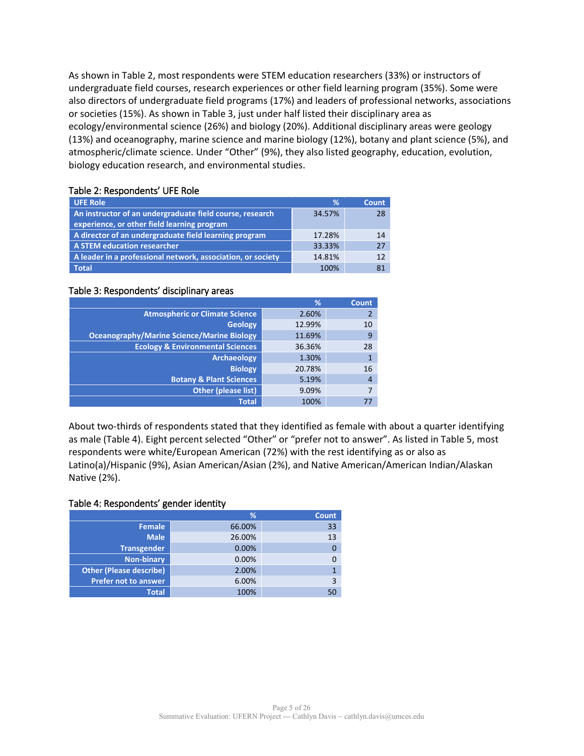As shown in Table 2, most respondents were STEM education researchers (33%) or instructors of undergraduate field courses, research experiences or other field learning program (35%). Some were also directors of undergraduate field programs (17%) and leaders of professional networks, associations or societies (15%). As shown in Table 3, just under half listed their disciplinary area as ecology/environmental science (26%) and biology (20%). Additional disciplinary areas were geology (13%) and oceanography, marine science and marine biology (12%), botany and plant science (5%), and atmospheric/climate science. Under "Other" (9%), they also listed geography, education, evolution, biology education research, and environmental studies.

## Table 2: Respondents' UFE Role

| <b>UFE Role</b>                                                                                         | %      | <b>Count</b> |
|---------------------------------------------------------------------------------------------------------|--------|--------------|
| An instructor of an undergraduate field course, research<br>experience, or other field learning program | 34.57% | 28           |
| A director of an undergraduate field learning program                                                   | 17.28% | 14           |
| A STEM education researcher                                                                             | 33.33% | 27           |
| A leader in a professional network, association, or society                                             | 14.81% | 12           |
| <b>Total</b>                                                                                            | 100%   | 81           |

#### Table 3: Respondents' disciplinary areas

|                                                   | %      | <b>Count</b>   |
|---------------------------------------------------|--------|----------------|
| <b>Atmospheric or Climate Science</b>             | 2.60%  |                |
| <b>Geology</b>                                    | 12.99% | 10             |
| <b>Oceanography/Marine Science/Marine Biology</b> | 11.69% | 9              |
| <b>Ecology &amp; Environmental Sciences</b>       | 36.36% | 28             |
| <b>Archaeology</b>                                | 1.30%  |                |
| <b>Biology</b>                                    | 20.78% | 16             |
| <b>Botany &amp; Plant Sciences</b>                | 5.19%  | $\overline{4}$ |
| Other (please list)                               | 9.09%  |                |
| <b>Total</b>                                      | 100%   |                |

About two-thirds of respondents stated that they identified as female with about a quarter identifying as male (Table 4). Eight percent selected "Other" or "prefer not to answer". As listed in Table 5, most respondents were white/European American (72%) with the rest identifying as or also as Latino(a)/Hispanic (9%), Asian American/Asian (2%), and Native American/American Indian/Alaskan Native (2%).

#### Table 4: Respondents' gender identity

|                                | %      | <b>Count</b> |
|--------------------------------|--------|--------------|
| Female                         | 66.00% | 33           |
| <b>Male</b>                    | 26.00% | 13           |
| <b>Transgender</b>             | 0.00%  |              |
| <b>Non-binary</b>              | 0.00%  |              |
| <b>Other (Please describe)</b> | 2.00%  |              |
| <b>Prefer not to answer</b>    | 6.00%  |              |
| <b>Total</b>                   | 100%   |              |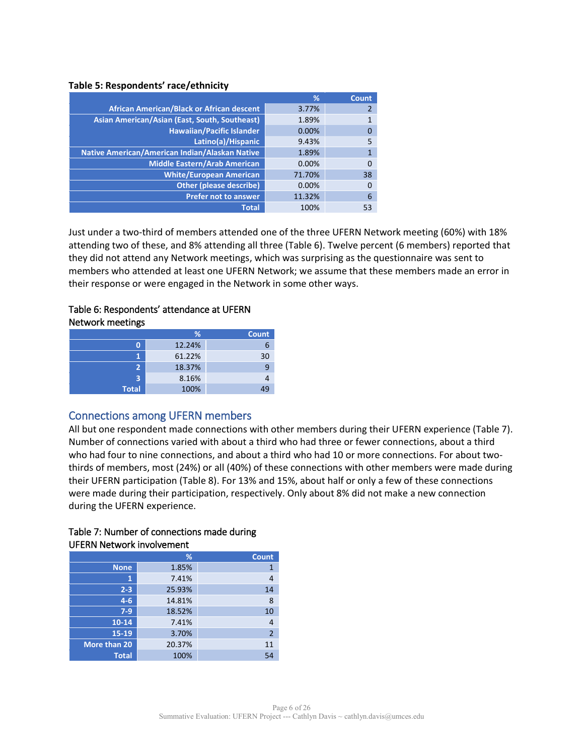#### **Table 5: Respondents' race/ethnicity**

|                                                  | %      | Count |
|--------------------------------------------------|--------|-------|
| <b>African American/Black or African descent</b> | 3.77%  |       |
| Asian American/Asian (East, South, Southeast)    | 1.89%  |       |
| <b>Hawaiian/Pacific Islander</b>                 | 0.00%  |       |
| Latino(a)/Hispanic                               | 9.43%  |       |
| Native American/American Indian/Alaskan Native   | 1.89%  |       |
| <b>Middle Eastern/Arab American</b>              | 0.00%  |       |
| <b>White/European American</b>                   | 71.70% | 38    |
| <b>Other (please describe)</b>                   | 0.00%  |       |
| <b>Prefer not to answer</b>                      | 11.32% | 6     |
| <b>Total</b>                                     | 100%   | 53    |

Just under a two-third of members attended one of the three UFERN Network meeting (60%) with 18% attending two of these, and 8% attending all three (Table 6). Twelve percent (6 members) reported that they did not attend any Network meetings, which was surprising as the questionnaire was sent to members who attended at least one UFERN Network; we assume that these members made an error in their response or were engaged in the Network in some other ways.

### Table 6: Respondents' attendance at UFERN Network meetings

|              | %      | <b>Count</b> |
|--------------|--------|--------------|
|              | 12.24% | ь            |
|              | 61.22% | 30           |
| 2            | 18.37% | 9            |
| ₹            | 8.16%  |              |
| <b>Total</b> | 100%   |              |

# Connections among UFERN members

All but one respondent made connections with other members during their UFERN experience (Table 7). Number of connections varied with about a third who had three or fewer connections, about a third who had four to nine connections, and about a third who had 10 or more connections. For about twothirds of members, most (24%) or all (40%) of these connections with other members were made during their UFERN participation (Table 8). For 13% and 15%, about half or only a few of these connections were made during their participation, respectively. Only about 8% did not make a new connection during the UFERN experience.

|              | %      | <b>Count</b>   |
|--------------|--------|----------------|
| <b>None</b>  | 1.85%  | 1              |
| 1            | 7.41%  | 4              |
| $2 - 3$      | 25.93% | 14             |
| $4 - 6$      | 14.81% | 8              |
| $7-9$        | 18.52% | 10             |
| $10 - 14$    | 7.41%  | 4              |
| 15-19        | 3.70%  | $\overline{2}$ |
| More than 20 | 20.37% | 11             |
| <b>Total</b> | 100%   | 54             |

#### Table 7: Number of connections made during UFERN Network involvement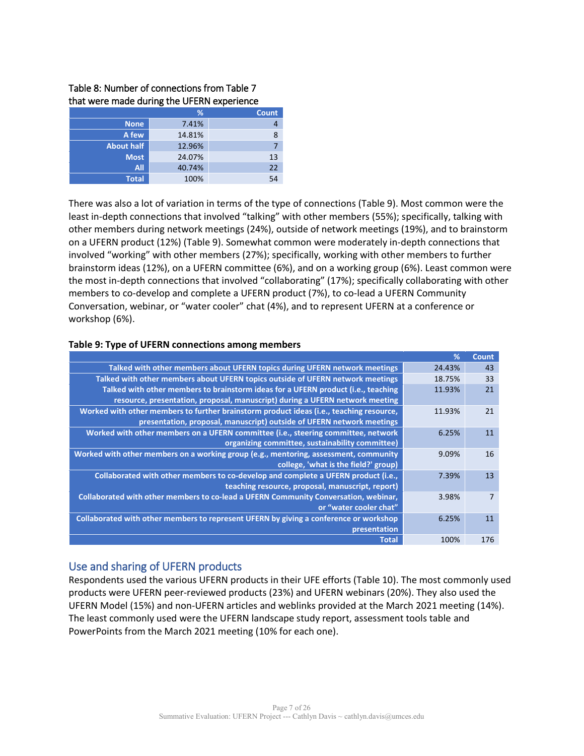#### Table 8: Number of connections from Table 7 that were made during the UFERN experience

|                   | %      | <b>Count</b> |
|-------------------|--------|--------------|
| <b>None</b>       | 7.41%  |              |
| A few             | 14.81% | 8            |
| <b>About half</b> | 12.96% |              |
| <b>Most</b>       | 24.07% | 13           |
| <b>All</b>        | 40.74% | 22           |
| <b>Total</b>      | 100%   | 54           |

There was also a lot of variation in terms of the type of connections (Table 9). Most common were the least in-depth connections that involved "talking" with other members (55%); specifically, talking with other members during network meetings (24%), outside of network meetings (19%), and to brainstorm on a UFERN product (12%) (Table 9). Somewhat common were moderately in-depth connections that involved "working" with other members (27%); specifically, working with other members to further brainstorm ideas (12%), on a UFERN committee (6%), and on a working group (6%). Least common were the most in-depth connections that involved "collaborating" (17%); specifically collaborating with other members to co-develop and complete a UFERN product (7%), to co-lead a UFERN Community Conversation, webinar, or "water cooler" chat (4%), and to represent UFERN at a conference or workshop (6%).

#### **Table 9: Type of UFERN connections among members**

|                                                                                         | %      | <b>Count</b> |
|-----------------------------------------------------------------------------------------|--------|--------------|
| Talked with other members about UFERN topics during UFERN network meetings              | 24.43% | 43           |
| Talked with other members about UFERN topics outside of UFERN network meetings          | 18.75% | 33           |
| Talked with other members to brainstorm ideas for a UFERN product (i.e., teaching       | 11.93% | 21           |
| resource, presentation, proposal, manuscript) during a UFERN network meeting            |        |              |
| Worked with other members to further brainstorm product ideas (i.e., teaching resource, | 11.93% | 21           |
| presentation, proposal, manuscript) outside of UFERN network meetings                   |        |              |
| Worked with other members on a UFERN committee (i.e., steering committee, network       | 6.25%  | 11           |
| organizing committee, sustainability committee)                                         |        |              |
| Worked with other members on a working group (e.g., mentoring, assessment, community    | 9.09%  | 16           |
| college, 'what is the field?' group)                                                    |        |              |
| Collaborated with other members to co-develop and complete a UFERN product (i.e.,       | 7.39%  | 13           |
| teaching resource, proposal, manuscript, report)                                        |        |              |
| Collaborated with other members to co-lead a UFERN Community Conversation, webinar,     | 3.98%  | 7            |
| or "water cooler chat"                                                                  |        |              |
| Collaborated with other members to represent UFERN by giving a conference or workshop   | 6.25%  | 11           |
| presentation                                                                            |        |              |
| <b>Total</b>                                                                            | 100%   | 176          |

#### Use and sharing of UFERN products

Respondents used the various UFERN products in their UFE efforts (Table 10). The most commonly used products were UFERN peer-reviewed products (23%) and UFERN webinars (20%). They also used the UFERN Model (15%) and non-UFERN articles and weblinks provided at the March 2021 meeting (14%). The least commonly used were the UFERN landscape study report, assessment tools table and PowerPoints from the March 2021 meeting (10% for each one).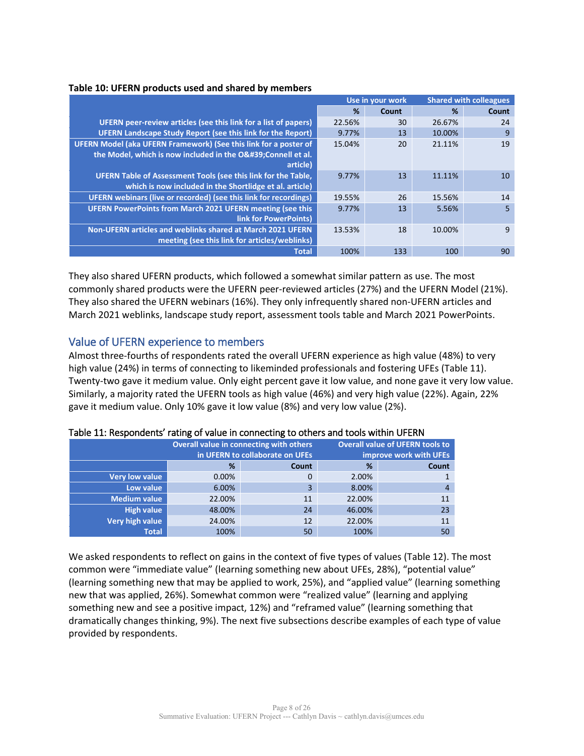|  |  | Table 10: UFERN products used and shared by members |
|--|--|-----------------------------------------------------|
|--|--|-----------------------------------------------------|

|                                                                    | Use in your work |       |        | <b>Shared with colleagues</b> |
|--------------------------------------------------------------------|------------------|-------|--------|-------------------------------|
|                                                                    | %                | Count | %      | Count                         |
| UFERN peer-review articles (see this link for a list of papers)    | 22.56%           | 30    | 26.67% | 24                            |
| <b>UFERN Landscape Study Report (see this link for the Report)</b> | 9.77%            | 13    | 10.00% | 9                             |
| UFERN Model (aka UFERN Framework) (See this link for a poster of   | 15.04%           | 20    | 21.11% | 19                            |
| the Model, which is now included in the O' Connell et al.          |                  |       |        |                               |
| article)                                                           |                  |       |        |                               |
| UFERN Table of Assessment Tools (see this link for the Table,      | 9.77%            | 13    | 11.11% | 10                            |
| which is now included in the Shortlidge et al. article)            |                  |       |        |                               |
| UFERN webinars (live or recorded) (see this link for recordings)   | 19.55%           | 26    | 15.56% | 14                            |
| <b>UFERN PowerPoints from March 2021 UFERN meeting (see this</b>   | 9.77%            | 13    | 5.56%  | 5                             |
| <b>link for PowerPoints)</b>                                       |                  |       |        |                               |
| Non-UFERN articles and weblinks shared at March 2021 UFERN         | 13.53%           | 18    | 10.00% | 9                             |
| meeting (see this link for articles/weblinks)                      |                  |       |        |                               |
| <b>Total</b>                                                       | 100%             | 133   | 100    | 90                            |

They also shared UFERN products, which followed a somewhat similar pattern as use. The most commonly shared products were the UFERN peer-reviewed articles (27%) and the UFERN Model (21%). They also shared the UFERN webinars (16%). They only infrequently shared non-UFERN articles and March 2021 weblinks, landscape study report, assessment tools table and March 2021 PowerPoints.

# Value of UFERN experience to members

Almost three-fourths of respondents rated the overall UFERN experience as high value (48%) to very high value (24%) in terms of connecting to likeminded professionals and fostering UFEs (Table 11). Twenty-two gave it medium value. Only eight percent gave it low value, and none gave it very low value. Similarly, a majority rated the UFERN tools as high value (46%) and very high value (22%). Again, 22% gave it medium value. Only 10% gave it low value (8%) and very low value (2%).

|                       | Overall value in connecting with others<br>in UFERN to collaborate on UFEs |       |        | <b>Overall value of UFERN tools to</b><br>improve work with UFEs |
|-----------------------|----------------------------------------------------------------------------|-------|--------|------------------------------------------------------------------|
|                       | %                                                                          | Count | ℅      | Count                                                            |
| <b>Very low value</b> | 0.00%                                                                      |       | 2.00%  |                                                                  |
| Low value             | 6.00%                                                                      | 3     | 8.00%  | 4                                                                |
| <b>Medium value</b>   | 22.00%                                                                     | 11    | 22.00% | 11                                                               |
| High value            | 48.00%                                                                     | 24    | 46.00% | 23                                                               |
| Very high value       | 24.00%                                                                     | 12    | 22.00% | 11                                                               |
| <b>Total</b>          | 100%                                                                       | 50    | 100%   | 50                                                               |

#### Table 11: Respondents' rating of value in connecting to others and tools within UFERN

We asked respondents to reflect on gains in the context of five types of values (Table 12). The most common were "immediate value" (learning something new about UFEs, 28%), "potential value" (learning something new that may be applied to work, 25%), and "applied value" (learning something new that was applied, 26%). Somewhat common were "realized value" (learning and applying something new and see a positive impact, 12%) and "reframed value" (learning something that dramatically changes thinking, 9%). The next five subsections describe examples of each type of value provided by respondents.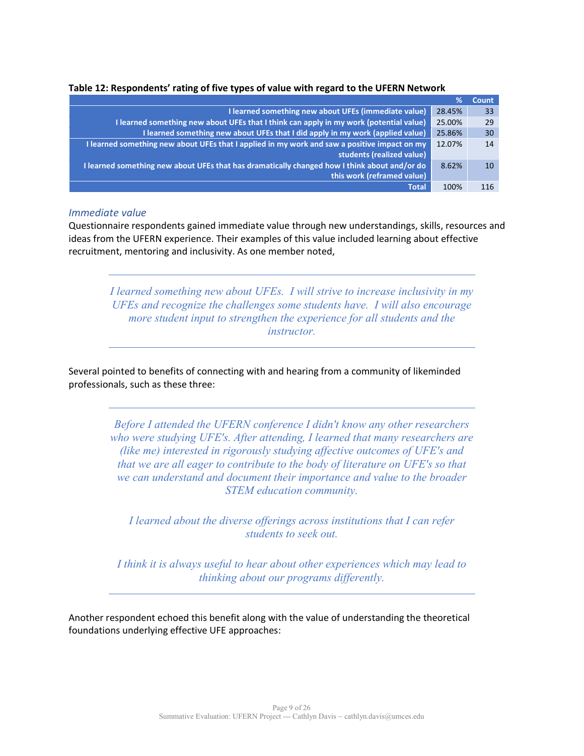| Table 12: Respondents' rating of five types of value with regard to the UFERN Network |  |  |  |  |
|---------------------------------------------------------------------------------------|--|--|--|--|
|---------------------------------------------------------------------------------------|--|--|--|--|

|                                                                                              | %      | <b>Count</b> |
|----------------------------------------------------------------------------------------------|--------|--------------|
| I learned something new about UFEs (immediate value)                                         | 28.45% | 33           |
| I learned something new about UFEs that I think can apply in my work (potential value)       | 25.00% | 29           |
| I learned something new about UFEs that I did apply in my work (applied value)               | 25.86% | 30           |
| I learned something new about UFEs that I applied in my work and saw a positive impact on my | 12.07% | 14           |
| students (realized value)                                                                    |        |              |
| I learned something new about UFEs that has dramatically changed how I think about and/or do | 8.62%  | 10           |
| this work (reframed value)                                                                   |        |              |
| <b>Total</b>                                                                                 | 100%   | 116          |

#### *Immediate value*

Questionnaire respondents gained immediate value through new understandings, skills, resources and ideas from the UFERN experience. Their examples of this value included learning about effective recruitment, mentoring and inclusivity. As one member noted,

*I learned something new about UFEs. I will strive to increase inclusivity in my UFEs and recognize the challenges some students have. I will also encourage more student input to strengthen the experience for all students and the instructor.*

Several pointed to benefits of connecting with and hearing from a community of likeminded professionals, such as these three:

> *Before I attended the UFERN conference I didn't know any other researchers who were studying UFE's. After attending, I learned that many researchers are (like me) interested in rigorously studying affective outcomes of UFE's and that we are all eager to contribute to the body of literature on UFE's so that we can understand and document their importance and value to the broader STEM education community.*

*I learned about the diverse offerings across institutions that I can refer students to seek out.*

*I think it is always useful to hear about other experiences which may lead to thinking about our programs differently.*

Another respondent echoed this benefit along with the value of understanding the theoretical foundations underlying effective UFE approaches: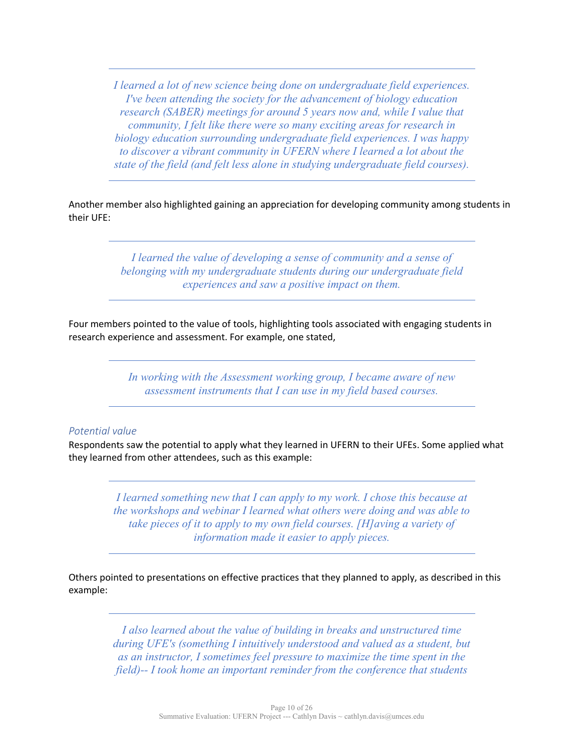*I learned a lot of new science being done on undergraduate field experiences. I've been attending the society for the advancement of biology education research (SABER) meetings for around 5 years now and, while I value that community, I felt like there were so many exciting areas for research in biology education surrounding undergraduate field experiences. I was happy to discover a vibrant community in UFERN where I learned a lot about the state of the field (and felt less alone in studying undergraduate field courses).*

Another member also highlighted gaining an appreciation for developing community among students in their UFE:

> *I learned the value of developing a sense of community and a sense of belonging with my undergraduate students during our undergraduate field experiences and saw a positive impact on them.*

Four members pointed to the value of tools, highlighting tools associated with engaging students in research experience and assessment. For example, one stated,

> *In working with the Assessment working group, I became aware of new assessment instruments that I can use in my field based courses.*

## *Potential value*

Respondents saw the potential to apply what they learned in UFERN to their UFEs. Some applied what they learned from other attendees, such as this example:

> *I learned something new that I can apply to my work. I chose this because at the workshops and webinar I learned what others were doing and was able to take pieces of it to apply to my own field courses. [H]aving a variety of information made it easier to apply pieces.*

Others pointed to presentations on effective practices that they planned to apply, as described in this example:

> *I also learned about the value of building in breaks and unstructured time during UFE's (something I intuitively understood and valued as a student, but as an instructor, I sometimes feel pressure to maximize the time spent in the field)-- I took home an important reminder from the conference that students*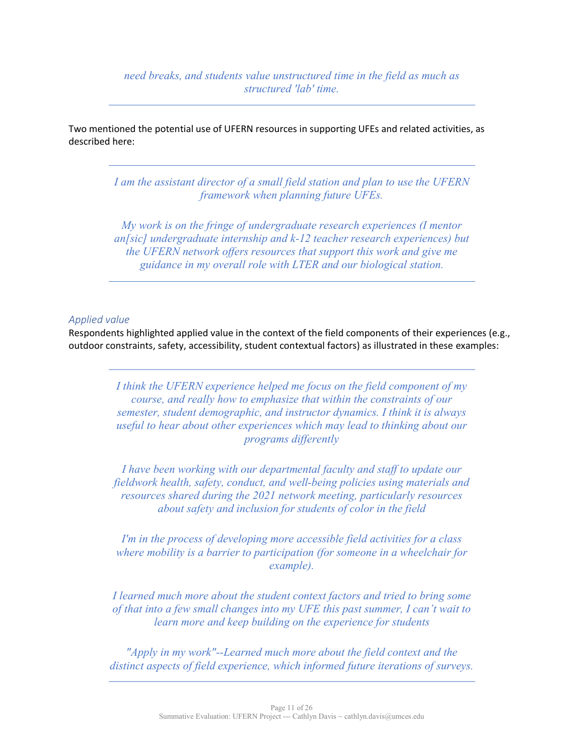*need breaks, and students value unstructured time in the field as much as structured 'lab' time.*

Two mentioned the potential use of UFERN resources in supporting UFEs and related activities, as described here:

> *I am the assistant director of a small field station and plan to use the UFERN framework when planning future UFEs.*

> *My work is on the fringe of undergraduate research experiences (I mentor an[sic] undergraduate internship and k-12 teacher research experiences) but the UFERN network offers resources that support this work and give me guidance in my overall role with LTER and our biological station.*

#### *Applied value*

Respondents highlighted applied value in the context of the field components of their experiences (e.g., outdoor constraints, safety, accessibility, student contextual factors) as illustrated in these examples:

> *I think the UFERN experience helped me focus on the field component of my course, and really how to emphasize that within the constraints of our semester, student demographic, and instructor dynamics. I think it is always useful to hear about other experiences which may lead to thinking about our programs differently*

*I have been working with our departmental faculty and staff to update our fieldwork health, safety, conduct, and well-being policies using materials and resources shared during the 2021 network meeting, particularly resources about safety and inclusion for students of color in the field*

*I'm in the process of developing more accessible field activities for a class where mobility is a barrier to participation (for someone in a wheelchair for example).*

*I learned much more about the student context factors and tried to bring some of that into a few small changes into my UFE this past summer, I can't wait to learn more and keep building on the experience for students*

*"Apply in my work"--Learned much more about the field context and the distinct aspects of field experience, which informed future iterations of surveys.*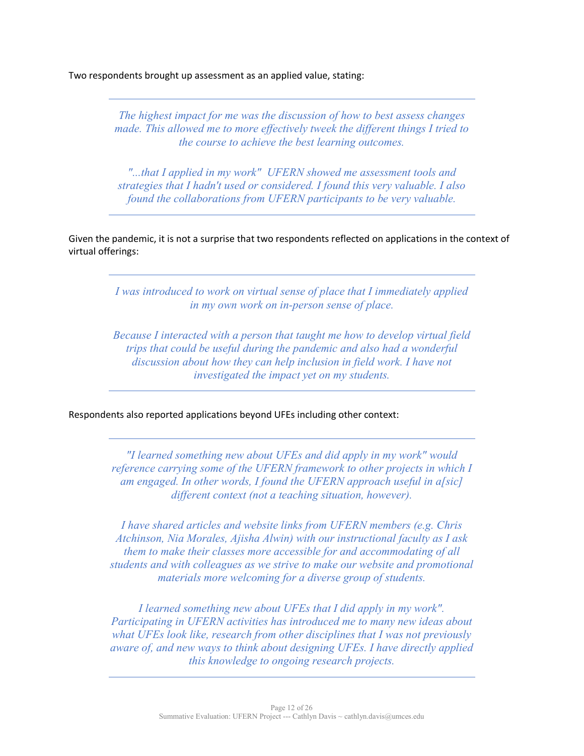Two respondents brought up assessment as an applied value, stating:

*The highest impact for me was the discussion of how to best assess changes made. This allowed me to more effectively tweek the different things I tried to the course to achieve the best learning outcomes.*

*"...that I applied in my work" UFERN showed me assessment tools and strategies that I hadn't used or considered. I found this very valuable. I also found the collaborations from UFERN participants to be very valuable.*

Given the pandemic, it is not a surprise that two respondents reflected on applications in the context of virtual offerings:

> *I was introduced to work on virtual sense of place that I immediately applied in my own work on in-person sense of place.*

> *Because I interacted with a person that taught me how to develop virtual field trips that could be useful during the pandemic and also had a wonderful discussion about how they can help inclusion in field work. I have not investigated the impact yet on my students.*

Respondents also reported applications beyond UFEs including other context:

*"I learned something new about UFEs and did apply in my work" would reference carrying some of the UFERN framework to other projects in which I am engaged. In other words, I found the UFERN approach useful in a[sic] different context (not a teaching situation, however).*

*I have shared articles and website links from UFERN members (e.g. Chris Atchinson, Nia Morales, Ajisha Alwin) with our instructional faculty as I ask them to make their classes more accessible for and accommodating of all students and with colleagues as we strive to make our website and promotional materials more welcoming for a diverse group of students.*

*I learned something new about UFEs that I did apply in my work". Participating in UFERN activities has introduced me to many new ideas about what UFEs look like, research from other disciplines that I was not previously aware of, and new ways to think about designing UFEs. I have directly applied this knowledge to ongoing research projects.*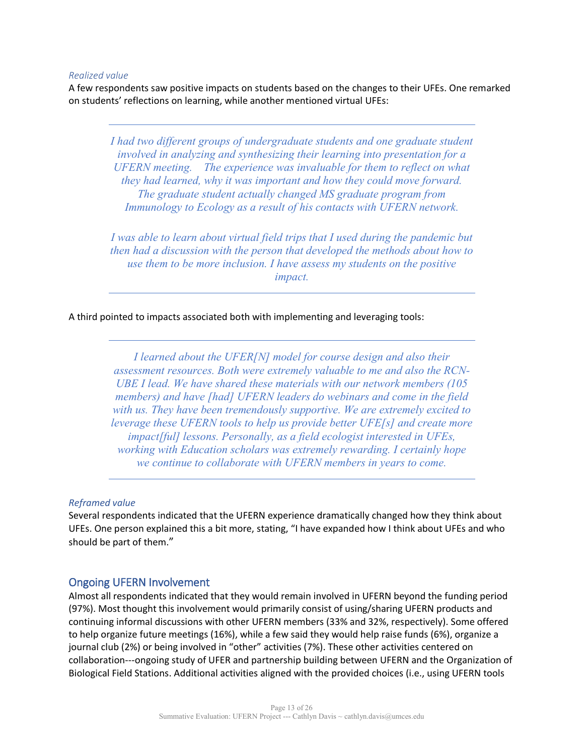#### *Realized value*

A few respondents saw positive impacts on students based on the changes to their UFEs. One remarked on students' reflections on learning, while another mentioned virtual UFEs:

*I had two different groups of undergraduate students and one graduate student involved in analyzing and synthesizing their learning into presentation for a UFERN meeting. The experience was invaluable for them to reflect on what they had learned, why it was important and how they could move forward. The graduate student actually changed MS graduate program from Immunology to Ecology as a result of his contacts with UFERN network.*

*I was able to learn about virtual field trips that I used during the pandemic but then had a discussion with the person that developed the methods about how to use them to be more inclusion. I have assess my students on the positive impact.*

A third pointed to impacts associated both with implementing and leveraging tools:

*I learned about the UFER[N] model for course design and also their assessment resources. Both were extremely valuable to me and also the RCN-UBE I lead. We have shared these materials with our network members (105 members) and have [had] UFERN leaders do webinars and come in the field with us. They have been tremendously supportive. We are extremely excited to leverage these UFERN tools to help us provide better UFE[s] and create more impact[ful] lessons. Personally, as a field ecologist interested in UFEs, working with Education scholars was extremely rewarding. I certainly hope we continue to collaborate with UFERN members in years to come.*

#### *Reframed value*

Several respondents indicated that the UFERN experience dramatically changed how they think about UFEs. One person explained this a bit more, stating, "I have expanded how I think about UFEs and who should be part of them."

#### Ongoing UFERN Involvement

Almost all respondents indicated that they would remain involved in UFERN beyond the funding period (97%). Most thought this involvement would primarily consist of using/sharing UFERN products and continuing informal discussions with other UFERN members (33% and 32%, respectively). Some offered to help organize future meetings (16%), while a few said they would help raise funds (6%), organize a journal club (2%) or being involved in "other" activities (7%). These other activities centered on collaboration---ongoing study of UFER and partnership building between UFERN and the Organization of Biological Field Stations. Additional activities aligned with the provided choices (i.e., using UFERN tools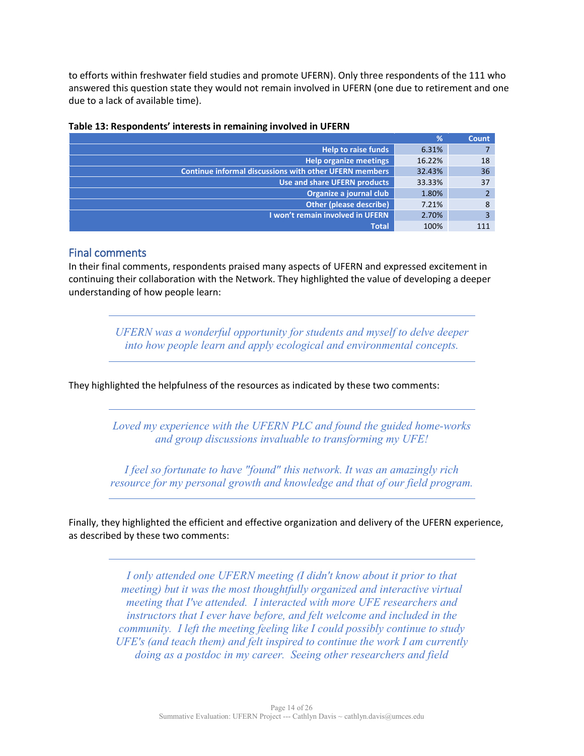to efforts within freshwater field studies and promote UFERN). Only three respondents of the 111 who answered this question state they would not remain involved in UFERN (one due to retirement and one due to a lack of available time).

|                                                               | %      | Count |
|---------------------------------------------------------------|--------|-------|
| <b>Help to raise funds</b>                                    | 6.31%  |       |
| <b>Help organize meetings</b>                                 | 16.22% | 18    |
| <b>Continue informal discussions with other UFERN members</b> | 32.43% | 36    |
| Use and share UFERN products                                  | 33.33% | 37    |
| Organize a journal club                                       | 1.80%  |       |
| Other (please describe)                                       | 7.21%  | 8     |
| I won't remain involved in UFERN                              | 2.70%  |       |
| <b>Total</b>                                                  | 100%   | 111   |

#### **Table 13: Respondents' interests in remaining involved in UFERN**

#### Final comments

In their final comments, respondents praised many aspects of UFERN and expressed excitement in continuing their collaboration with the Network. They highlighted the value of developing a deeper understanding of how people learn:

> *UFERN was a wonderful opportunity for students and myself to delve deeper into how people learn and apply ecological and environmental concepts.*

They highlighted the helpfulness of the resources as indicated by these two comments:

*Loved my experience with the UFERN PLC and found the guided home-works and group discussions invaluable to transforming my UFE!*

*I feel so fortunate to have "found" this network. It was an amazingly rich resource for my personal growth and knowledge and that of our field program.*

Finally, they highlighted the efficient and effective organization and delivery of the UFERN experience, as described by these two comments:

> *I only attended one UFERN meeting (I didn't know about it prior to that meeting) but it was the most thoughtfully organized and interactive virtual meeting that I've attended. I interacted with more UFE researchers and instructors that I ever have before, and felt welcome and included in the community. I left the meeting feeling like I could possibly continue to study UFE's (and teach them) and felt inspired to continue the work I am currently doing as a postdoc in my career. Seeing other researchers and field*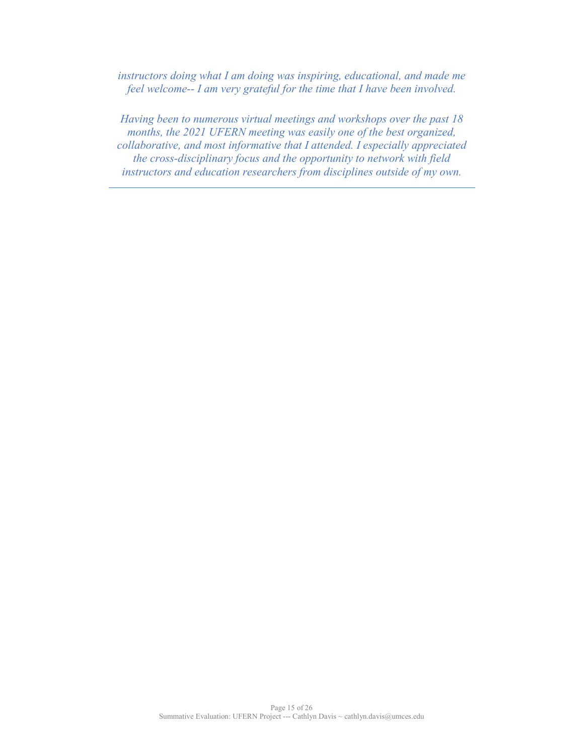*instructors doing what I am doing was inspiring, educational, and made me feel welcome-- I am very grateful for the time that I have been involved.*

*Having been to numerous virtual meetings and workshops over the past 18 months, the 2021 UFERN meeting was easily one of the best organized, collaborative, and most informative that I attended. I especially appreciated the cross-disciplinary focus and the opportunity to network with field instructors and education researchers from disciplines outside of my own.*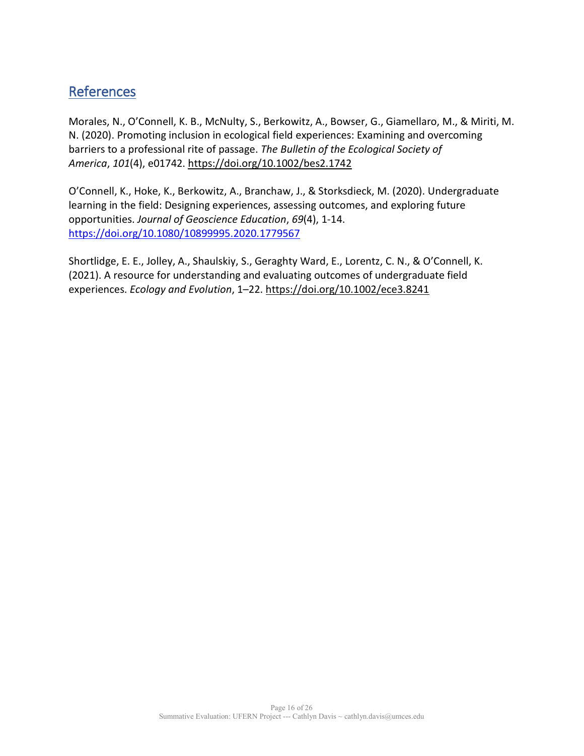# **References**

Morales, N., O'Connell, K. B., McNulty, S., Berkowitz, A., Bowser, G., Giamellaro, M., & Miriti, M. N. (2020). Promoting inclusion in ecological field experiences: Examining and overcoming barriers to a professional rite of passage. *The Bulletin of the Ecological Society of America*, *101*(4), e01742. <https://doi.org/10.1002/bes2.1742>

O'Connell, K., Hoke, K., Berkowitz, A., Branchaw, J., & Storksdieck, M. (2020). Undergraduate learning in the field: Designing experiences, assessing outcomes, and exploring future opportunities. *Journal of Geoscience Education*, *69*(4), 1-14. <https://doi.org/10.1080/10899995.2020.1779567>

Shortlidge, E. E., Jolley, A., Shaulskiy, S., Geraghty Ward, E., Lorentz, C. N., & O'Connell, K. (2021). A resource for understanding and evaluating outcomes of undergraduate field experiences. *Ecology and Evolution*, 1–22. <https://doi.org/10.1002/ece3.8241>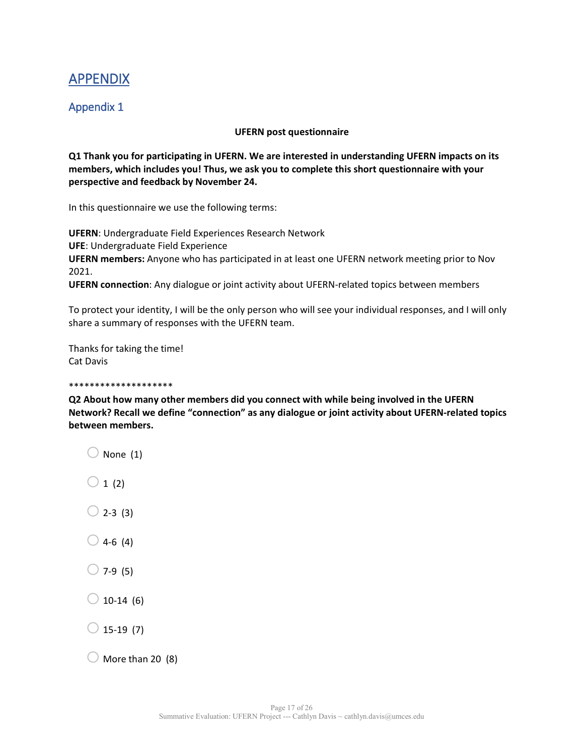# APPENDIX

# Appendix 1

#### **UFERN post questionnaire**

**Q1 Thank you for participating in UFERN. We are interested in understanding UFERN impacts on its members, which includes you! Thus, we ask you to complete this short questionnaire with your perspective and feedback by November 24.**

In this questionnaire we use the following terms:

**UFERN**: Undergraduate Field Experiences Research Network **UFE**: Undergraduate Field Experience **UFERN members:** Anyone who has participated in at least one UFERN network meeting prior to Nov 2021.

**UFERN connection**: Any dialogue or joint activity about UFERN-related topics between members

To protect your identity, I will be the only person who will see your individual responses, and I will only share a summary of responses with the UFERN team.

Thanks for taking the time! Cat Davis

#### \*\*\*\*\*\*\*\*\*\*\*\*\*\*\*\*\*\*\*\*

**Q2 About how many other members did you connect with while being involved in the UFERN Network? Recall we define "connection" as any dialogue or joint activity about UFERN-related topics between members.**

- $\bigcirc$  None (1)  $\bigcirc$  1 (2)  $\bigcirc$  2-3 (3)  $\bigcirc$  4-6 (4)
- $\bigcirc$  7-9 (5)
- $\bigcirc$  10-14 (6)
- $2$  15-19 (7)
- $\bigcirc$  More than 20 (8)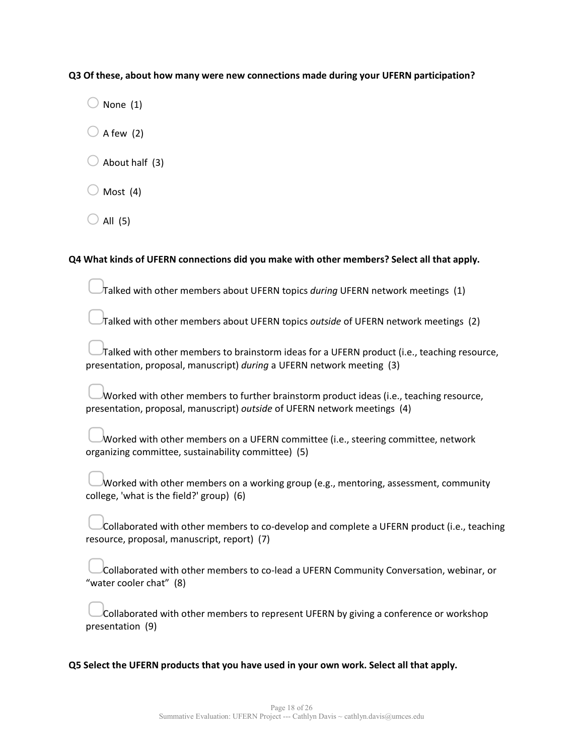**Q3 Of these, about how many were new connections made during your UFERN participation?**

 $)$  None (1)

 $\bigcirc$  A few (2)

 $\bigcirc$  About half (3)

Most (4)

 $\bigcirc$  All (5)

#### **Q4 What kinds of UFERN connections did you make with other members? Select all that apply.**

▢Talked with other members about UFERN topics *during* UFERN network meetings (1)

▢Talked with other members about UFERN topics *outside* of UFERN network meetings (2)

▢Talked with other members to brainstorm ideas for a UFERN product (i.e., teaching resource, presentation, proposal, manuscript) *during* a UFERN network meeting (3)

Worked with other members to further brainstorm product ideas (i.e., teaching resource, presentation, proposal, manuscript) *outside* of UFERN network meetings (4)

| Worked with other members on a UFERN committee (i.e., steering committee, network |  |
|-----------------------------------------------------------------------------------|--|
| organizing committee, sustainability committee) (5)                               |  |

| Worked with other members on a working group (e.g., mentoring, assessment, community |  |
|--------------------------------------------------------------------------------------|--|
|                                                                                      |  |
| college, 'what is the field?' group) (6)                                             |  |

Collaborated with other members to co-develop and complete a UFERN product (i.e., teaching resource, proposal, manuscript, report) (7)

| Collaborated with other members to co-lead a UFERN Community Conversation, webinar, or |
|----------------------------------------------------------------------------------------|
| "water cooler chat" (8)                                                                |

| Collaborated with other members to represent UFERN by giving a conference or workshop |  |
|---------------------------------------------------------------------------------------|--|
| presentation (9)                                                                      |  |

**Q5 Select the UFERN products that you have used in your own work. Select all that apply.**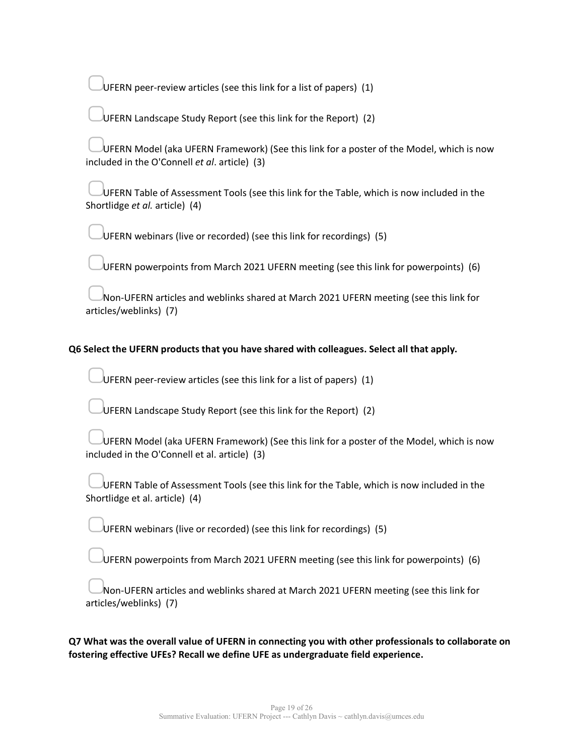UFERN peer-review articles (see this link for a list of papers)  $(1)$ 

▢UFERN Landscape Study Report (see this link for the Report) (2)

UFERN Model (aka UFERN Framework) (See this link for a poster of the Model, which is now included in the O'Connell *et al*. article) (3)

▢UFERN Table of Assessment Tools (see this link for the Table, which is now included in the Shortlidge *et al.* article) (4)

▢UFERN webinars (live or recorded) (see this link for recordings) (5)

▢UFERN powerpoints from March 2021 UFERN meeting (see this link for powerpoints) (6)

Non-UFERN articles and weblinks shared at March 2021 UFERN meeting (see this link for articles/weblinks) (7)

#### **Q6 Select the UFERN products that you have shared with colleagues. Select all that apply.**

UFERN peer-review articles (see this link for a list of papers)  $(1)$ 

UFERN Landscape Study Report (see this link for the Report) (2)

UFERN Model (aka UFERN Framework) (See this link for a poster of the Model, which is now included in the O'Connell et al. article) (3)

| UFERN Table of Assessment Tools (see this link for the Table, which is now included in the |
|--------------------------------------------------------------------------------------------|
| Shortlidge et al. article) (4)                                                             |

UFERN webinars (live or recorded) (see this link for recordings) (5)

UFERN powerpoints from March 2021 UFERN meeting (see this link for powerpoints) (6)

Non-UFERN articles and weblinks shared at March 2021 UFERN meeting (see this link for articles/weblinks) (7)

**Q7 What was the overall value of UFERN in connecting you with other professionals to collaborate on fostering effective UFEs? Recall we define UFE as undergraduate field experience.**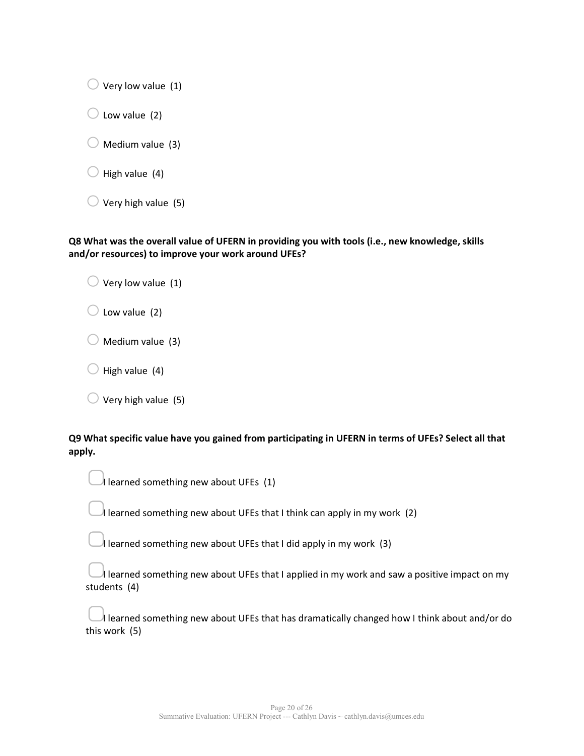$\bigcirc$  Very low value (1)

 $\bigcirc$  Low value (2)

Medium value (3)

High value (4)

| $\bigcirc$ Very high value (5) |
|--------------------------------|
|                                |

#### **Q8 What was the overall value of UFERN in providing you with tools (i.e., new knowledge, skills and/or resources) to improve your work around UFEs?**

| $\bigcirc$ Very low value (1) |  |
|-------------------------------|--|
|-------------------------------|--|

 $\bigcirc$  Low value (2)

Medium value (3)

High value (4)

 $\bigcirc$  Very high value (5)

**Q9 What specific value have you gained from participating in UFERN in terms of UFEs? Select all that apply.**

| Learned something new about UFEs $(1)$ |  |
|----------------------------------------|--|
|                                        |  |

I learned something new about UFEs that I think can apply in my work (2)

I learned something new about UFEs that I did apply in my work (3)

| learned something new about UFEs that I applied in my work and saw a positive impact on my |
|--------------------------------------------------------------------------------------------|
| students (4)                                                                               |

I learned something new about UFEs that has dramatically changed how I think about and/or do this work (5)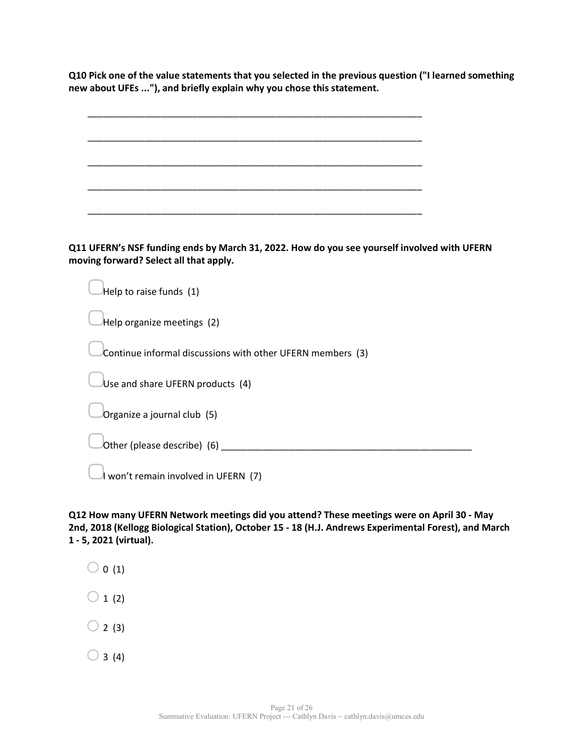**Q10 Pick one of the value statements that you selected in the previous question ("I learned something new about UFEs ..."), and briefly explain why you chose this statement.**

|  |  |  | _________ |  |  |
|--|--|--|-----------|--|--|
|  |  |  |           |  |  |
|  |  |  |           |  |  |
|  |  |  |           |  |  |
|  |  |  |           |  |  |
|  |  |  |           |  |  |

**Q11 UFERN's NSF funding ends by March 31, 2022. How do you see yourself involved with UFERN moving forward? Select all that apply.**

| Help to raise funds (1)                                    |
|------------------------------------------------------------|
| Help organize meetings (2)                                 |
| Continue informal discussions with other UFERN members (3) |
| Use and share UFERN products (4)                           |
| Organize a journal club (5)                                |
| Other (please describe) (6)                                |
| won't remain involved in UFERN (7)                         |

**Q12 How many UFERN Network meetings did you attend? These meetings were on April 30 - May 2nd, 2018 (Kellogg Biological Station), October 15 - 18 (H.J. Andrews Experimental Forest), and March 1 - 5, 2021 (virtual).**

 $\bigcirc$  0 (1)  $\bigcirc$  1 (2)  $\bigcirc$  2 (3)  $\bigcirc$  3 (4)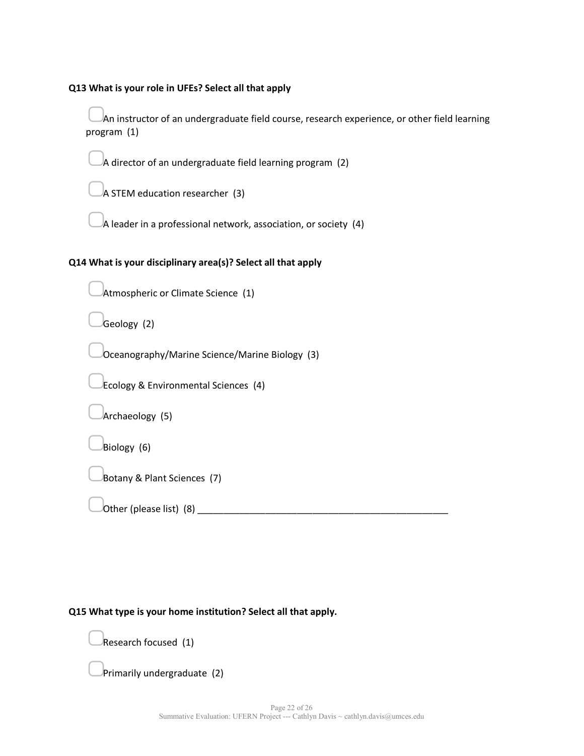#### **Q13 What is your role in UFEs? Select all that apply**

An instructor of an undergraduate field course, research experience, or other field learning program (1)

A director of an undergraduate field learning program  $(2)$ 

A STEM education researcher (3)

A leader in a professional network, association, or society  $(4)$ 

### **Q14 What is your disciplinary area(s)? Select all that apply**

Atmospheric or Climate Science (1)

Geology (2)

▢Oceanography/Marine Science/Marine Biology (3)

▢Ecology & Environmental Sciences (4)

▢Archaeology (5)

Biology (6)

▢Botany & Plant Sciences (7)

Other (please list)  $(8)$ 

## **Q15 What type is your home institution? Select all that apply.**

▢Research focused (1)

▢Primarily undergraduate (2)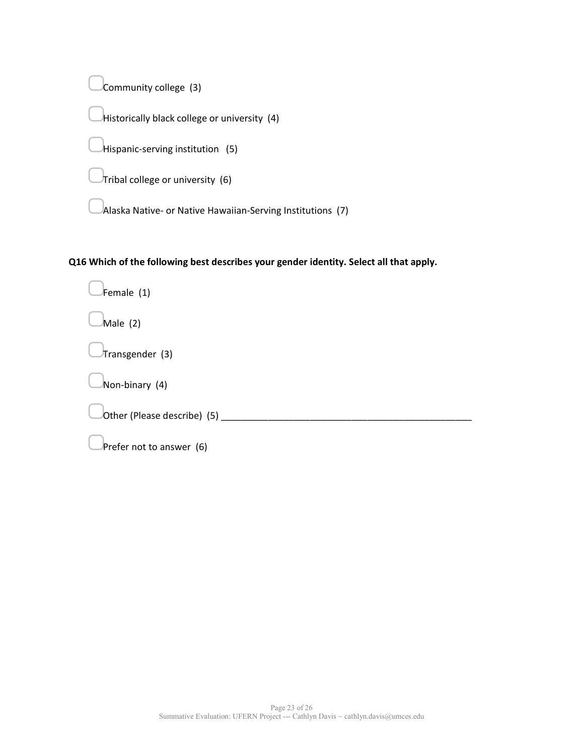Community college (3)

Historically black college or university (4)

▢Hispanic-serving institution (5)

 $\overline{\sigma}$ Tribal college or university (6)

 $\lambda$ laska Native- or Native Hawaiian-Serving Institutions (7)

**Q16 Which of the following best describes your gender identity. Select all that apply.**

▢Female (1) Male (2) ▢Transgender (3) ▢Non-binary (4) ▢Other (Please describe) (5) \_\_\_\_\_\_\_\_\_\_\_\_\_\_\_\_\_\_\_\_\_\_\_\_\_\_\_\_\_\_\_\_\_\_\_\_\_\_\_\_\_\_\_\_\_\_\_\_ Prefer not to answer (6)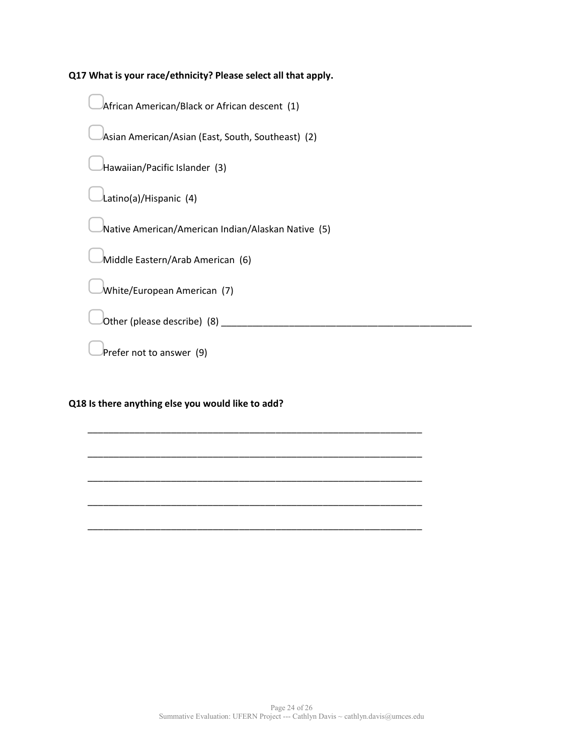**Q17 What is your race/ethnicity? Please select all that apply.**

▢African American/Black or African descent (1)

▢Asian American/Asian (East, South, Southeast) (2)

▢Hawaiian/Pacific Islander (3)

▢Latino(a)/Hispanic (4)

▢Native American/American Indian/Alaskan Native (5)

\_\_\_\_\_\_\_\_\_\_\_\_\_\_\_\_\_\_\_\_\_\_\_\_\_\_\_\_\_\_\_\_\_\_\_\_\_\_\_\_\_\_\_\_\_\_\_\_\_\_\_\_\_\_\_\_\_\_\_\_\_\_\_\_

\_\_\_\_\_\_\_\_\_\_\_\_\_\_\_\_\_\_\_\_\_\_\_\_\_\_\_\_\_\_\_\_\_\_\_\_\_\_\_\_\_\_\_\_\_\_\_\_\_\_\_\_\_\_\_\_\_\_\_\_\_\_\_\_

\_\_\_\_\_\_\_\_\_\_\_\_\_\_\_\_\_\_\_\_\_\_\_\_\_\_\_\_\_\_\_\_\_\_\_\_\_\_\_\_\_\_\_\_\_\_\_\_\_\_\_\_\_\_\_\_\_\_\_\_\_\_\_\_

\_\_\_\_\_\_\_\_\_\_\_\_\_\_\_\_\_\_\_\_\_\_\_\_\_\_\_\_\_\_\_\_\_\_\_\_\_\_\_\_\_\_\_\_\_\_\_\_\_\_\_\_\_\_\_\_\_\_\_\_\_\_\_\_

\_\_\_\_\_\_\_\_\_\_\_\_\_\_\_\_\_\_\_\_\_\_\_\_\_\_\_\_\_\_\_\_\_\_\_\_\_\_\_\_\_\_\_\_\_\_\_\_\_\_\_\_\_\_\_\_\_\_\_\_\_\_\_\_

▢Middle Eastern/Arab American (6)

▢White/European American (7)

Other (please describe)  $(8)$ 

Prefer not to answer (9)

#### **Q18 Is there anything else you would like to add?**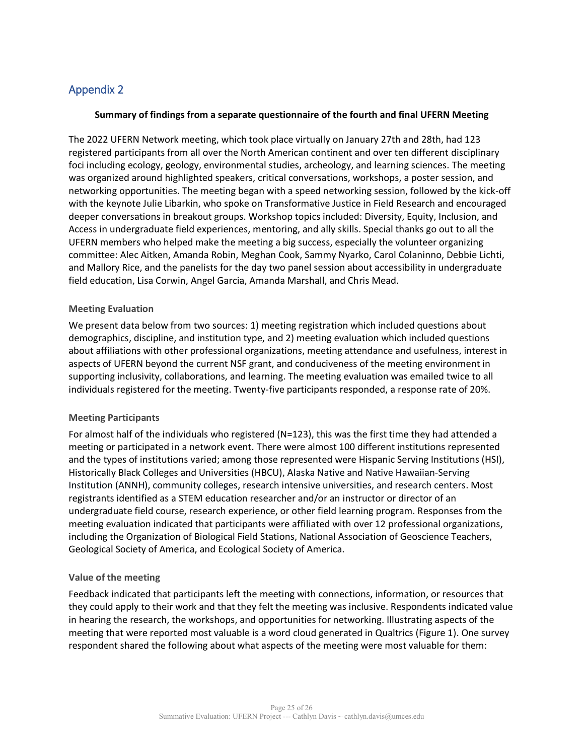# Appendix 2

#### **Summary of findings from a separate questionnaire of the fourth and final UFERN Meeting**

The 2022 UFERN Network meeting, which took place virtually on January 27th and 28th, had 123 registered participants from all over the North American continent and over ten different disciplinary foci including ecology, geology, environmental studies, archeology, and learning sciences. The meeting was organized around highlighted speakers, critical conversations, workshops, a poster session, and networking opportunities. The meeting began with a speed networking session, followed by the kick-off with the keynote Julie Libarkin, who spoke on Transformative Justice in Field Research and encouraged deeper conversations in breakout groups. Workshop topics included: Diversity, Equity, Inclusion, and Access in undergraduate field experiences, mentoring, and ally skills. Special thanks go out to all the UFERN members who helped make the meeting a big success, especially the volunteer organizing committee: Alec Aitken, Amanda Robin, Meghan Cook, Sammy Nyarko, Carol Colaninno, Debbie Lichti, and Mallory Rice, and the panelists for the day two panel session about accessibility in undergraduate field education, Lisa Corwin, Angel Garcia, Amanda Marshall, and Chris Mead.

#### **Meeting Evaluation**

We present data below from two sources: 1) meeting registration which included questions about demographics, discipline, and institution type, and 2) meeting evaluation which included questions about affiliations with other professional organizations, meeting attendance and usefulness, interest in aspects of UFERN beyond the current NSF grant, and conduciveness of the meeting environment in supporting inclusivity, collaborations, and learning. The meeting evaluation was emailed twice to all individuals registered for the meeting. Twenty-five participants responded, a response rate of 20%.

#### **Meeting Participants**

For almost half of the individuals who registered (N=123), this was the first time they had attended a meeting or participated in a network event. There were almost 100 different institutions represented and the types of institutions varied; among those represented were Hispanic Serving Institutions (HSI), Historically Black Colleges and Universities (HBCU), Alaska Native and Native Hawaiian-Serving Institution (ANNH), community colleges, research intensive universities, and research centers. Most registrants identified as a STEM education researcher and/or an instructor or director of an undergraduate field course, research experience, or other field learning program. Responses from the meeting evaluation indicated that participants were affiliated with over 12 professional organizations, including the Organization of Biological Field Stations, National Association of Geoscience Teachers, Geological Society of America, and Ecological Society of America.

#### **Value of the meeting**

Feedback indicated that participants left the meeting with connections, information, or resources that they could apply to their work and that they felt the meeting was inclusive. Respondents indicated value in hearing the research, the workshops, and opportunities for networking. Illustrating aspects of the meeting that were reported most valuable is a word cloud generated in Qualtrics (Figure 1). One survey respondent shared the following about what aspects of the meeting were most valuable for them: